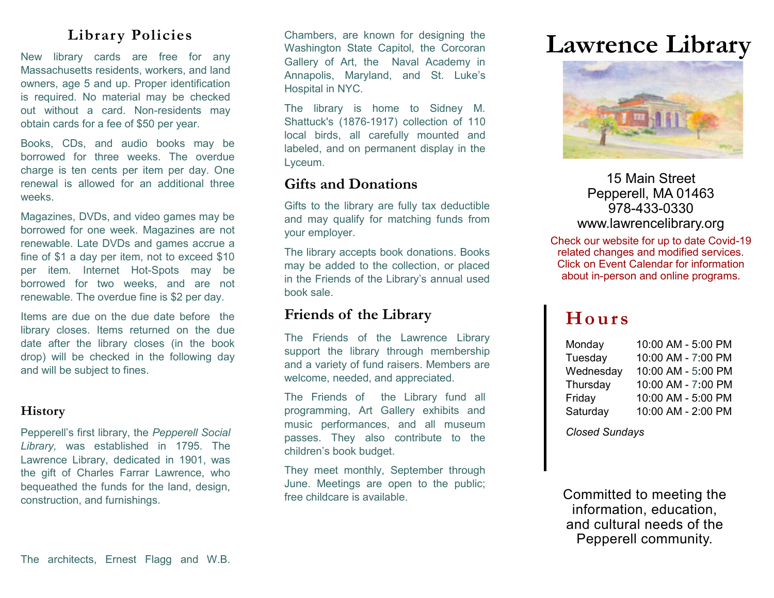# **Library Policies**

Massachusetts residents, workers, and land owners, age 5 and up. Proper identification is required. No material may be checked out without a card. Non-residents may obtain cards for a fee of \$50 per year.

Books, CDs, and audio books may be borrowed for three weeks. The overdue charge is ten cents per item per day. One renewal is allowed for an additional three weeks.

Magazines, DVDs, and video games may be borrowed for one week. Magazines are not renewable. Late DVDs and games accrue a fine of \$1 a day per item, not to exceed \$10 per item. Internet Hot-Spots may be borrowed for two weeks, and are not renewable. The overdue fine is \$2 per day.

Items are due on the due date before the library closes. Items returned on the due date after the library closes (in the book drop) will be checked in the following day and will be subject to fines.

## **History**

Pepperell's first library, the *Pepperell Social Library,* was established in 1795. The Lawrence Library, dedicated in 1901, was the gift of Charles Farrar Lawrence, who bequeathed the funds for the land, design, construction, and furnishings.

**Library Functers**<br>New library cards are free for any Collegy of Art the New Acedemy in **Lawrence Library** Chambers, are known for designing the Washington State Capitol, the Corcoran Gallery of Art, the Naval Academy in Annapolis, Maryland, and St. Luke's Hospital in NYC.

> The library is home to Sidney M. Shattuck's (1876-1917) collection of 110 local birds, all carefully mounted and labeled, and on permanent display in the Lyceum.

# **Gifts and Donations**

Gifts to the library are fully tax deductible and may qualify for matching funds from your employer.

The library accepts book donations. Books may be added to the collection, or placed in the Friends of the Library's annual used book sale.

# **Friends of the Library**

The Friends of the Lawrence Library support the library through membership and a variety of fund raisers. Members are welcome, needed, and appreciated.

The Friends of the Library fund all programming, Art Gallery exhibits and music performances, and all museum passes. They also contribute to the children's book budget.

They meet monthly, September through June. Meetings are open to the public; free childcare is available.



15 Main Street Pepperell, MA 01463 978-433-0330 www.lawrencelibrary.org

Check our website for up to date Covid-19 related changes and modified services. Click on Event Calendar for information about in-person and online programs.

# **Ho ur s**

| Monday    | 10:00 AM - 5:00 PM |
|-----------|--------------------|
| Tuesday   | 10:00 AM - 7:00 PM |
| Wednesday | 10:00 AM - 5:00 PM |
| Thursday  | 10:00 AM - 7:00 PM |
| Friday    | 10:00 AM - 5:00 PM |
| Saturday  | 10:00 AM - 2:00 PM |

*Closed Sundays* 

Committed to meeting the information, education, and cultural needs of the Pepperell community.